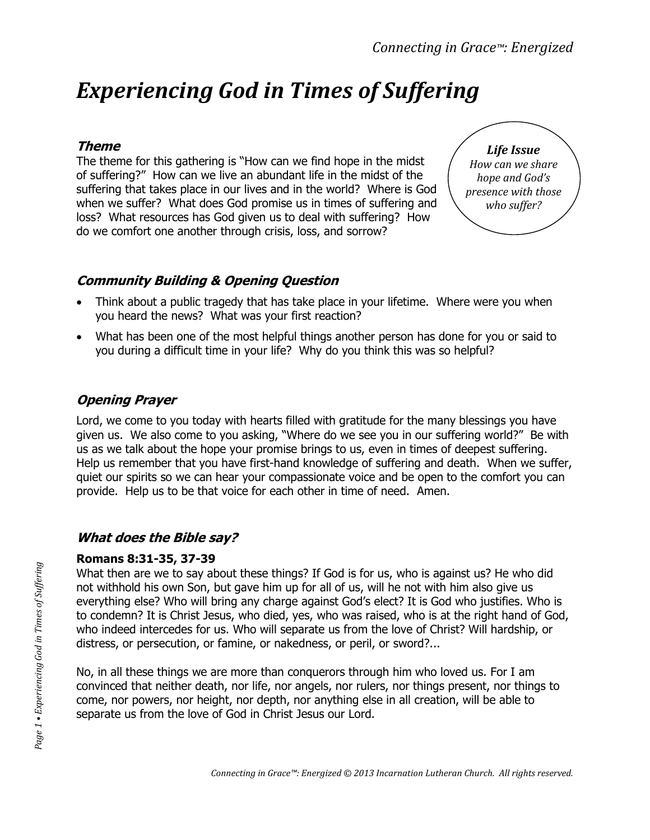# *Experiencing God in Times of Suffering*

#### **Theme**

The theme for this gathering is "How can we find hope in the midst of suffering?" How can we live an abundant life in the midst of the suffering that takes place in our lives and in the world? Where is God when we suffer? What does God promise us in times of suffering and loss? What resources has God given us to deal with suffering? How do we comfort one another through crisis, loss, and sorrow?



### **Community Building & Opening Question**

- Think about a public tragedy that has take place in your lifetime. Where were you when you heard the news? What was your first reaction?
- What has been one of the most helpful things another person has done for you or said to you during a difficult time in your life? Why do you think this was so helpful?

# **Opening Prayer**

Lord, we come to you today with hearts filled with gratitude for the many blessings you have given us. We also come to you asking, "Where do we see you in our suffering world?" Be with us as we talk about the hope your promise brings to us, even in times of deepest suffering. Help us remember that you have first-hand knowledge of suffering and death. When we suffer, quiet our spirits so we can hear your compassionate voice and be open to the comfort you can provide. Help us to be that voice for each other in time of need. Amen.

# **What does the Bible say?**

#### **Romans 8:31-35, 37-39**

What then are we to say about these things? If God is for us, who is against us? He who did not withhold his own Son, but gave him up for all of us, will he not with him also give us everything else? Who will bring any charge against God's elect? It is God who justifies. Who is to condemn? It is Christ Jesus, who died, yes, who was raised, who is at the right hand of God, who indeed intercedes for us. Who will separate us from the love of Christ? Will hardship, or distress, or persecution, or famine, or nakedness, or peril, or sword?...

No, in all these things we are more than conquerors through him who loved us. For I am convinced that neither death, nor life, nor angels, nor rulers, nor things present, nor things to come, nor powers, nor height, nor depth, nor anything else in all creation, will be able to separate us from the love of God in Christ Jesus our Lord.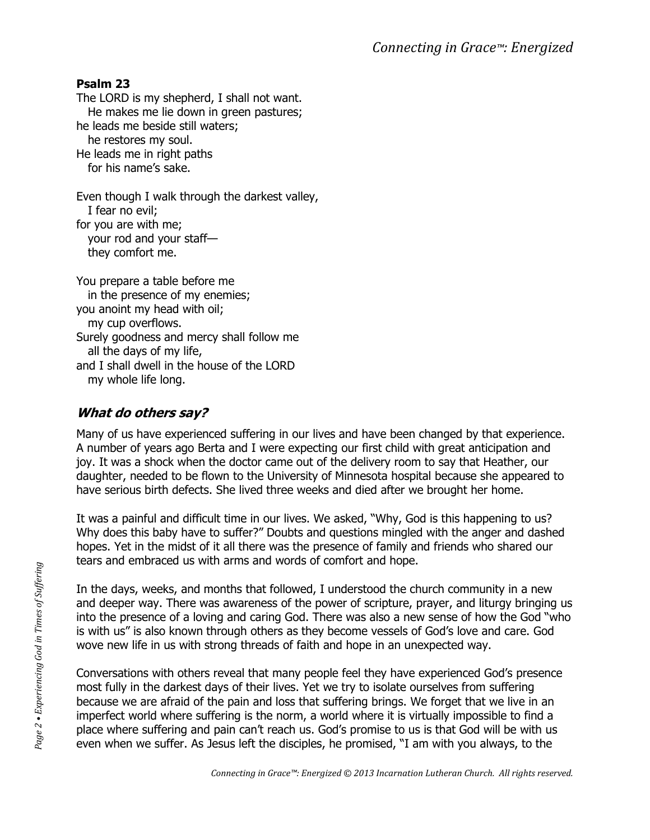#### **Psalm 23**

The LORD is my shepherd, I shall not want. He makes me lie down in green pastures; he leads me beside still waters; he restores my soul. He leads me in right paths for his name's sake.

Even though I walk through the darkest valley, I fear no evil; for you are with me; your rod and your staff they comfort me.

You prepare a table before me in the presence of my enemies; you anoint my head with oil; my cup overflows. Surely goodness and mercy shall follow me all the days of my life, and I shall dwell in the house of the LORD my whole life long.

# **What do others say?**

Many of us have experienced suffering in our lives and have been changed by that experience. A number of years ago Berta and I were expecting our first child with great anticipation and joy. It was a shock when the doctor came out of the delivery room to say that Heather, our daughter, needed to be flown to the University of Minnesota hospital because she appeared to have serious birth defects. She lived three weeks and died after we brought her home.

It was a painful and difficult time in our lives. We asked, "Why, God is this happening to us? Why does this baby have to suffer?" Doubts and questions mingled with the anger and dashed hopes. Yet in the midst of it all there was the presence of family and friends who shared our tears and embraced us with arms and words of comfort and hope.

In the days, weeks, and months that followed, I understood the church community in a new and deeper way. There was awareness of the power of scripture, prayer, and liturgy bringing us into the presence of a loving and caring God. There was also a new sense of how the God "who is with us" is also known through others as they become vessels of God's love and care. God wove new life in us with strong threads of faith and hope in an unexpected way.

Conversations with others reveal that many people feel they have experienced God's presence most fully in the darkest days of their lives. Yet we try to isolate ourselves from suffering because we are afraid of the pain and loss that suffering brings. We forget that we live in an imperfect world where suffering is the norm, a world where it is virtually impossible to find a place where suffering and pain can't reach us. God's promise to us is that God will be with us even when we suffer. As Jesus left the disciples, he promised, "I am with you always, to the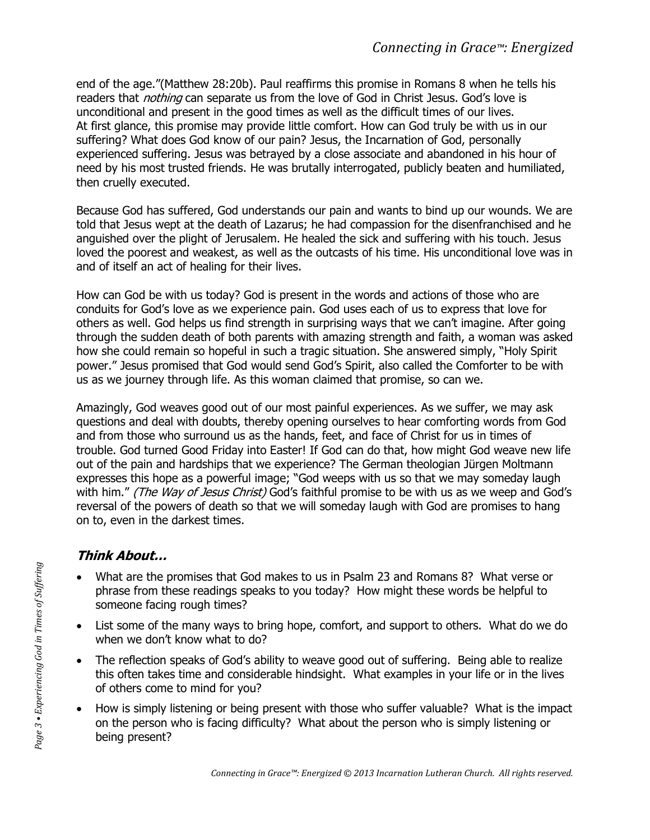end of the age."(Matthew 28:20b). Paul reaffirms this promise in Romans 8 when he tells his readers that *nothing* can separate us from the love of God in Christ Jesus. God's love is unconditional and present in the good times as well as the difficult times of our lives. At first glance, this promise may provide little comfort. How can God truly be with us in our suffering? What does God know of our pain? Jesus, the Incarnation of God, personally experienced suffering. Jesus was betrayed by a close associate and abandoned in his hour of need by his most trusted friends. He was brutally interrogated, publicly beaten and humiliated, then cruelly executed.

Because God has suffered, God understands our pain and wants to bind up our wounds. We are told that Jesus wept at the death of Lazarus; he had compassion for the disenfranchised and he anguished over the plight of Jerusalem. He healed the sick and suffering with his touch. Jesus loved the poorest and weakest, as well as the outcasts of his time. His unconditional love was in and of itself an act of healing for their lives.

How can God be with us today? God is present in the words and actions of those who are conduits for God's love as we experience pain. God uses each of us to express that love for others as well. God helps us find strength in surprising ways that we can't imagine. After going through the sudden death of both parents with amazing strength and faith, a woman was asked how she could remain so hopeful in such a tragic situation. She answered simply, "Holy Spirit power." Jesus promised that God would send God's Spirit, also called the Comforter to be with us as we journey through life. As this woman claimed that promise, so can we.

Amazingly, God weaves good out of our most painful experiences. As we suffer, we may ask questions and deal with doubts, thereby opening ourselves to hear comforting words from God and from those who surround us as the hands, feet, and face of Christ for us in times of trouble. God turned Good Friday into Easter! If God can do that, how might God weave new life out of the pain and hardships that we experience? The German theologian Jürgen Moltmann expresses this hope as a powerful image; "God weeps with us so that we may someday laugh with him." (The Way of Jesus Christ) God's faithful promise to be with us as we weep and God's reversal of the powers of death so that we will someday laugh with God are promises to hang on to, even in the darkest times.

# **Think About…**

- What are the promises that God makes to us in Psalm 23 and Romans 8? What verse or phrase from these readings speaks to you today? How might these words be helpful to someone facing rough times?
- List some of the many ways to bring hope, comfort, and support to others. What do we do when we don't know what to do?
- The reflection speaks of God's ability to weave good out of suffering. Being able to realize this often takes time and considerable hindsight. What examples in your life or in the lives of others come to mind for you?
- How is simply listening or being present with those who suffer valuable? What is the impact on the person who is facing difficulty? What about the person who is simply listening or being present?